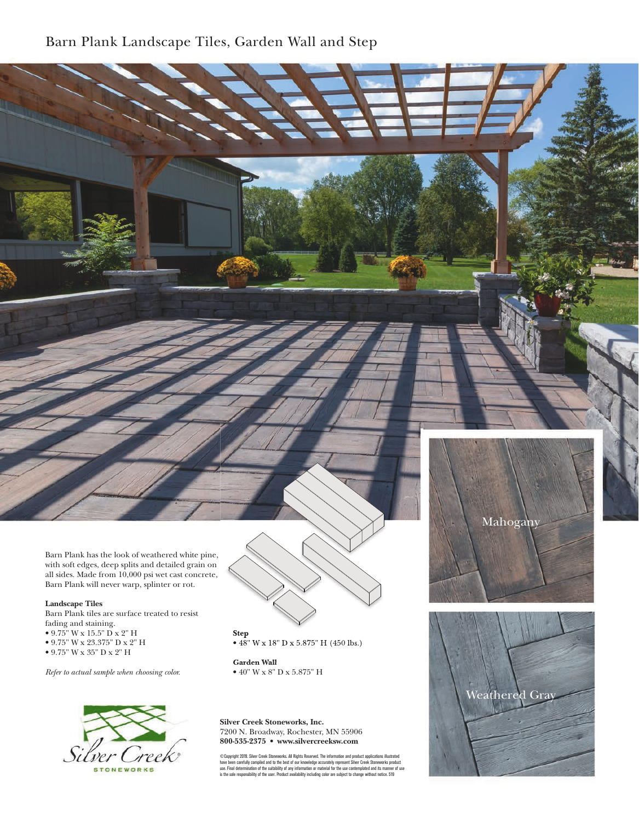## Barn Plank Landscape Tiles, Garden Wall and Step

Barn Plank has the look of weathered white pine, with soft edges, deep splits and detailed grain on all sides. Made from 10,000 psi wet cast concrete, Barn Plank will never warp, splinter or rot.

## **Landscape Tiles**

Barn Plank tiles are surface treated to resist fading and staining. • 9.75" W x 15.5" D x 2" H • 9.75" W x 23.375" D x 2" H

• 9.75" W x 35" D x 2" H

*Refer to actual sample when choosing color.*



**Step**  • 48" W x 18" D x 5.875" H (450 lbs.)

**Garden Wall** • 40" W x 8" D x 5.875" H



**Silver Creek Stoneworks, Inc.**  7200 N. Broadway, Rochester, MN 55906 **800-535-2375 • www.silvercreeksw.com** 

©Copyright 2019. Silver Creek Stoneworks. All Rights Reserved. The information and product applications illustrated<br>have been carefully compiled and to the best of our knowledge accurately represent Silver Creek Stoneworks